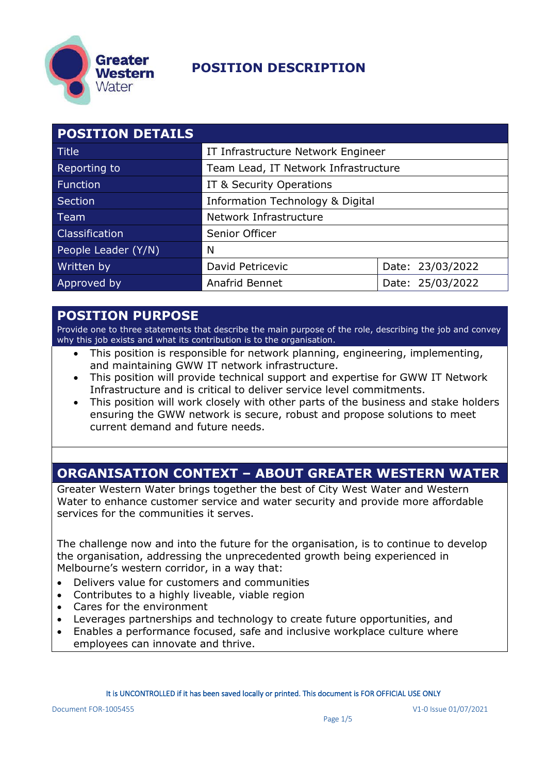

| <b>POSITION DETAILS</b> |                                      |                  |
|-------------------------|--------------------------------------|------------------|
| Title                   | IT Infrastructure Network Engineer   |                  |
| Reporting to            | Team Lead, IT Network Infrastructure |                  |
| Function                | IT & Security Operations             |                  |
| Section                 | Information Technology & Digital     |                  |
| Team                    | Network Infrastructure               |                  |
| <b>Classification</b>   | Senior Officer                       |                  |
| People Leader (Y/N)     | N                                    |                  |
| Written by              | David Petricevic                     | Date: 23/03/2022 |
| Approved by             | Anafrid Bennet                       | Date: 25/03/2022 |

#### **POSITION PURPOSE**

Provide one to three statements that describe the main purpose of the role, describing the job and convey why this job exists and what its contribution is to the organisation.

- This position is responsible for network planning, engineering, implementing, and maintaining GWW IT network infrastructure.
- This position will provide technical support and expertise for GWW IT Network Infrastructure and is critical to deliver service level commitments.
- This position will work closely with other parts of the business and stake holders ensuring the GWW network is secure, robust and propose solutions to meet current demand and future needs.

#### **ORGANISATION CONTEXT – ABOUT GREATER WESTERN WATER**

Greater Western Water brings together the best of City West Water and Western Water to enhance customer service and water security and provide more affordable services for the communities it serves.

The challenge now and into the future for the organisation, is to continue to develop the organisation, addressing the unprecedented growth being experienced in Melbourne's western corridor, in a way that:

- Delivers value for customers and communities
- Contributes to a highly liveable, viable region
- Cares for the environment
- Leverages partnerships and technology to create future opportunities, and
- Enables a performance focused, safe and inclusive workplace culture where employees can innovate and thrive.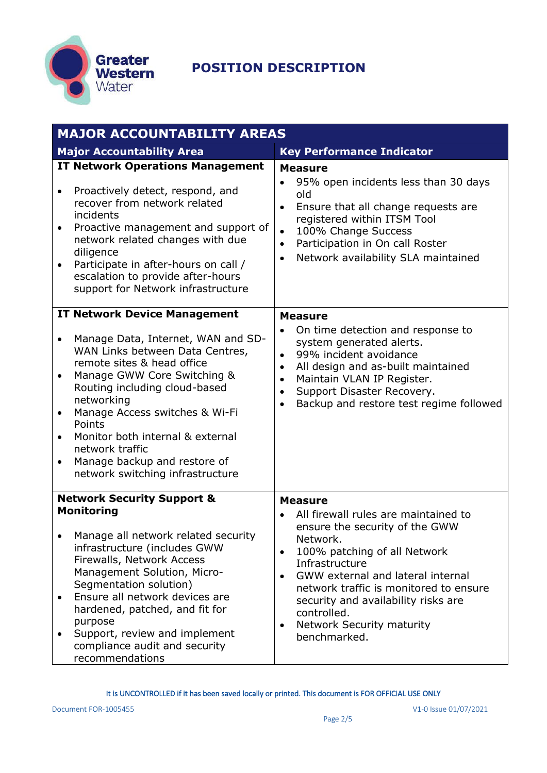

| <b>MAJOR ACCOUNTABILITY AREAS</b> |                                                                                                                                                                                                                                                                                                                                                          |                                                                                                                                                                                                                                                                                                                                                               |
|-----------------------------------|----------------------------------------------------------------------------------------------------------------------------------------------------------------------------------------------------------------------------------------------------------------------------------------------------------------------------------------------------------|---------------------------------------------------------------------------------------------------------------------------------------------------------------------------------------------------------------------------------------------------------------------------------------------------------------------------------------------------------------|
|                                   | <b>Major Accountability Area</b>                                                                                                                                                                                                                                                                                                                         | <b>Key Performance Indicator</b>                                                                                                                                                                                                                                                                                                                              |
| $\bullet$                         | <b>IT Network Operations Management</b><br>Proactively detect, respond, and<br>recover from network related<br>incidents<br>Proactive management and support of<br>network related changes with due<br>diligence<br>Participate in after-hours on call /<br>escalation to provide after-hours<br>support for Network infrastructure                      | <b>Measure</b><br>95% open incidents less than 30 days<br>old<br>Ensure that all change requests are<br>$\bullet$<br>registered within ITSM Tool<br>100% Change Success<br>$\bullet$<br>Participation in On call Roster<br>$\bullet$<br>Network availability SLA maintained<br>$\bullet$                                                                      |
|                                   | <b>IT Network Device Management</b>                                                                                                                                                                                                                                                                                                                      | <b>Measure</b>                                                                                                                                                                                                                                                                                                                                                |
| $\bullet$                         | Manage Data, Internet, WAN and SD-<br>WAN Links between Data Centres,<br>remote sites & head office<br>Manage GWW Core Switching &<br>Routing including cloud-based<br>networking<br>Manage Access switches & Wi-Fi<br>Points<br>Monitor both internal & external<br>network traffic<br>Manage backup and restore of<br>network switching infrastructure | On time detection and response to<br>$\bullet$<br>system generated alerts.<br>99% incident avoidance<br>$\bullet$<br>All design and as-built maintained<br>٠<br>Maintain VLAN IP Register.<br>$\bullet$<br>Support Disaster Recovery.<br>$\bullet$<br>Backup and restore test regime followed<br>$\bullet$                                                    |
|                                   | <b>Network Security Support &amp;</b>                                                                                                                                                                                                                                                                                                                    | <b>Measure</b>                                                                                                                                                                                                                                                                                                                                                |
| $\bullet$<br>٠                    | <b>Monitoring</b><br>Manage all network related security<br>infrastructure (includes GWW<br>Firewalls, Network Access<br>Management Solution, Micro-<br>Segmentation solution)<br>Ensure all network devices are<br>hardened, patched, and fit for<br>purpose<br>Support, review and implement<br>compliance audit and security<br>recommendations       | All firewall rules are maintained to<br>ensure the security of the GWW<br>Network.<br>100% patching of all Network<br>$\bullet$<br>Infrastructure<br>GWW external and lateral internal<br>$\bullet$<br>network traffic is monitored to ensure<br>security and availability risks are<br>controlled.<br>Network Security maturity<br>$\bullet$<br>benchmarked. |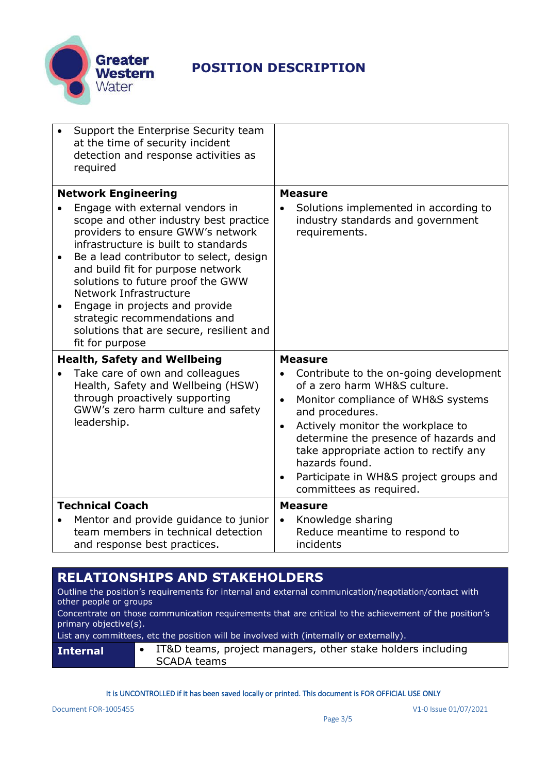

|           | Support the Enterprise Security team<br>at the time of security incident<br>detection and response activities as<br>required                                                                                                                                                                                                                                                                                                            |                                                                                                                                                                                                                                                                                                                                                                                                    |
|-----------|-----------------------------------------------------------------------------------------------------------------------------------------------------------------------------------------------------------------------------------------------------------------------------------------------------------------------------------------------------------------------------------------------------------------------------------------|----------------------------------------------------------------------------------------------------------------------------------------------------------------------------------------------------------------------------------------------------------------------------------------------------------------------------------------------------------------------------------------------------|
|           | <b>Network Engineering</b>                                                                                                                                                                                                                                                                                                                                                                                                              | <b>Measure</b>                                                                                                                                                                                                                                                                                                                                                                                     |
| $\bullet$ | Engage with external vendors in<br>scope and other industry best practice<br>providers to ensure GWW's network<br>infrastructure is built to standards<br>Be a lead contributor to select, design<br>and build fit for purpose network<br>solutions to future proof the GWW<br>Network Infrastructure<br>Engage in projects and provide<br>strategic recommendations and<br>solutions that are secure, resilient and<br>fit for purpose | Solutions implemented in according to<br>industry standards and government<br>requirements.                                                                                                                                                                                                                                                                                                        |
|           | <b>Health, Safety and Wellbeing</b>                                                                                                                                                                                                                                                                                                                                                                                                     | <b>Measure</b>                                                                                                                                                                                                                                                                                                                                                                                     |
|           | Take care of own and colleagues<br>Health, Safety and Wellbeing (HSW)<br>through proactively supporting<br>GWW's zero harm culture and safety<br>leadership.                                                                                                                                                                                                                                                                            | Contribute to the on-going development<br>$\bullet$<br>of a zero harm WH&S culture.<br>Monitor compliance of WH&S systems<br>$\bullet$<br>and procedures.<br>Actively monitor the workplace to<br>$\bullet$<br>determine the presence of hazards and<br>take appropriate action to rectify any<br>hazards found.<br>Participate in WH&S project groups and<br>$\bullet$<br>committees as required. |
|           | <b>Technical Coach</b>                                                                                                                                                                                                                                                                                                                                                                                                                  | <b>Measure</b>                                                                                                                                                                                                                                                                                                                                                                                     |
|           | Mentor and provide guidance to junior<br>team members in technical detection<br>and response best practices.                                                                                                                                                                                                                                                                                                                            | Knowledge sharing<br>$\bullet$<br>Reduce meantime to respond to<br>incidents                                                                                                                                                                                                                                                                                                                       |

#### **RELATIONSHIPS AND STAKEHOLDERS**

Outline the position's requirements for internal and external communication/negotiation/contact with other people or groups

Concentrate on those communication requirements that are critical to the achievement of the position's primary objective(s).

List any committees, etc the position will be involved with (internally or externally).

| <b>Internal</b> | IT&D teams, project managers, other stake holders including<br>SCADA teams |
|-----------------|----------------------------------------------------------------------------|
|-----------------|----------------------------------------------------------------------------|

It is UNCONTROLLED if it has been saved locally or printed. This document is FOR OFFICIAL USE ONLY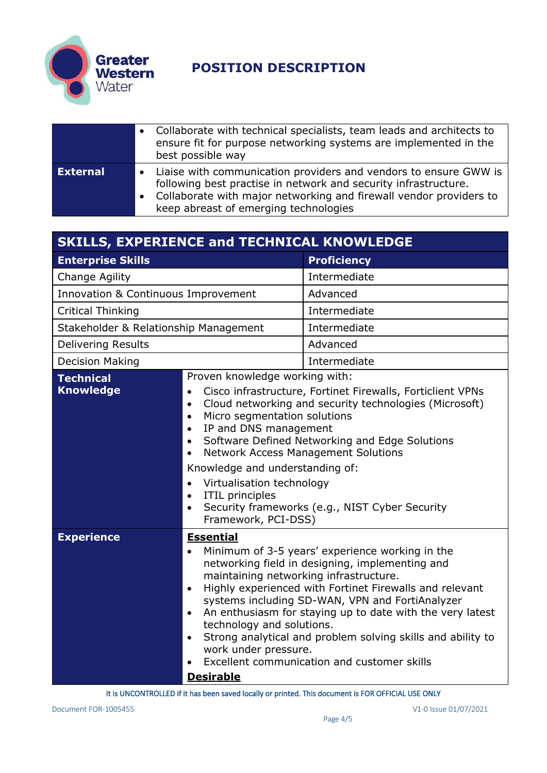

|                 | Collaborate with technical specialists, team leads and architects to<br>ensure fit for purpose networking systems are implemented in the<br>best possible way                                                                                        |
|-----------------|------------------------------------------------------------------------------------------------------------------------------------------------------------------------------------------------------------------------------------------------------|
| <b>External</b> | • Liaise with communication providers and vendors to ensure GWW is<br>following best practise in network and security infrastructure.<br>Collaborate with major networking and firewall vendor providers to<br>keep abreast of emerging technologies |

| <b>SKILLS, EXPERIENCE and TECHNICAL KNOWLEDGE</b> |                                                                                                                                                                                                                                                                                                                                                                                                                                                                                                                                                                                                         |                    |
|---------------------------------------------------|---------------------------------------------------------------------------------------------------------------------------------------------------------------------------------------------------------------------------------------------------------------------------------------------------------------------------------------------------------------------------------------------------------------------------------------------------------------------------------------------------------------------------------------------------------------------------------------------------------|--------------------|
| <b>Enterprise Skills</b>                          |                                                                                                                                                                                                                                                                                                                                                                                                                                                                                                                                                                                                         | <b>Proficiency</b> |
| Change Agility                                    |                                                                                                                                                                                                                                                                                                                                                                                                                                                                                                                                                                                                         | Intermediate       |
| Innovation & Continuous Improvement               |                                                                                                                                                                                                                                                                                                                                                                                                                                                                                                                                                                                                         | Advanced           |
| <b>Critical Thinking</b>                          |                                                                                                                                                                                                                                                                                                                                                                                                                                                                                                                                                                                                         | Intermediate       |
| Stakeholder & Relationship Management             |                                                                                                                                                                                                                                                                                                                                                                                                                                                                                                                                                                                                         | Intermediate       |
| <b>Delivering Results</b>                         |                                                                                                                                                                                                                                                                                                                                                                                                                                                                                                                                                                                                         | Advanced           |
| <b>Decision Making</b>                            |                                                                                                                                                                                                                                                                                                                                                                                                                                                                                                                                                                                                         | Intermediate       |
| <b>Technical</b><br><b>Knowledge</b>              | Proven knowledge working with:<br>Cisco infrastructure, Fortinet Firewalls, Forticlient VPNs<br>$\bullet$<br>Cloud networking and security technologies (Microsoft)<br>$\bullet$<br>Micro segmentation solutions<br>$\bullet$<br>IP and DNS management<br>$\bullet$<br>Software Defined Networking and Edge Solutions<br>$\bullet$<br><b>Network Access Management Solutions</b><br>$\bullet$<br>Knowledge and understanding of:<br>Virtualisation technology<br>$\bullet$<br><b>ITIL</b> principles<br>$\bullet$<br>Security frameworks (e.g., NIST Cyber Security<br>$\bullet$<br>Framework, PCI-DSS) |                    |
| <b>Experience</b>                                 | <b>Essential</b><br>Minimum of 3-5 years' experience working in the<br>$\bullet$<br>networking field in designing, implementing and<br>maintaining networking infrastructure.<br>Highly experienced with Fortinet Firewalls and relevant<br>$\bullet$<br>systems including SD-WAN, VPN and FortiAnalyzer<br>An enthusiasm for staying up to date with the very latest<br>$\bullet$<br>technology and solutions.<br>Strong analytical and problem solving skills and ability to<br>$\bullet$<br>work under pressure.<br>Excellent communication and customer skills<br>$\bullet$<br><b>Desirable</b>     |                    |

It is UNCONTROLLED if it has been saved locally or printed. This document is FOR OFFICIAL USE ONLY